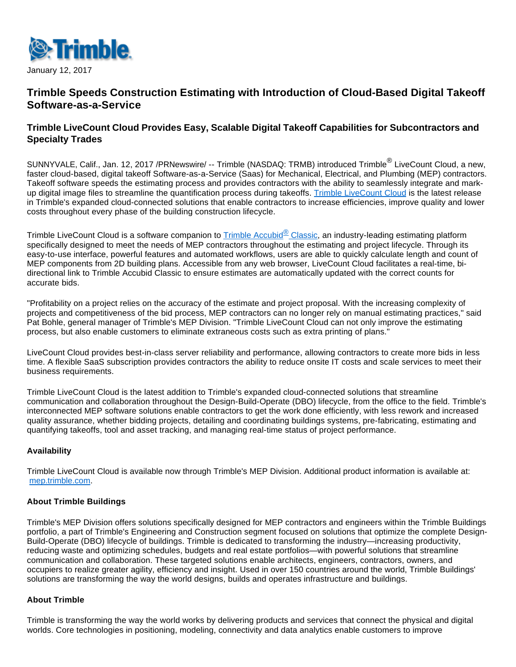

January 12, 2017

# **Trimble Speeds Construction Estimating with Introduction of Cloud-Based Digital Takeoff Software-as-a-Service**

## **Trimble LiveCount Cloud Provides Easy, Scalable Digital Takeoff Capabilities for Subcontractors and Specialty Trades**

SUNNYVALE, Calif., Jan. 12, 2017 /PRNewswire/ -- Trimble (NASDAQ: TRMB) introduced Trimble<sup>®</sup> LiveCount Cloud, a new, faster cloud-based, digital takeoff Software-as-a-Service (Saas) for Mechanical, Electrical, and Plumbing (MEP) contractors. Takeoff software speeds the estimating process and provides contractors with the ability to seamlessly integrate and mark-up digital image files to streamline the quantification process during takeoffs. [Trimble LiveCount Cloud](http://mep.trimble.com/products/takeoff/trimble-livecount-cloud) is the latest release in Trimble's expanded cloud-connected solutions that enable contractors to increase efficiencies, improve quality and lower costs throughout every phase of the building construction lifecycle.

Trimble LiveCount Cloud is a software companion to [Trimble Accubid](http://mep.trimble.com/products/estimating/trimble-accubid-classic-estimating)<sup>®</sup> Classic, an industry-leading estimating platform specifically designed to meet the needs of MEP contractors throughout the estimating and project lifecycle. Through its easy-to-use interface, powerful features and automated workflows, users are able to quickly calculate length and count of MEP components from 2D building plans. Accessible from any web browser, LiveCount Cloud facilitates a real-time, bidirectional link to Trimble Accubid Classic to ensure estimates are automatically updated with the correct counts for accurate bids.

"Profitability on a project relies on the accuracy of the estimate and project proposal. With the increasing complexity of projects and competitiveness of the bid process, MEP contractors can no longer rely on manual estimating practices," said Pat Bohle, general manager of Trimble's MEP Division. "Trimble LiveCount Cloud can not only improve the estimating process, but also enable customers to eliminate extraneous costs such as extra printing of plans."

LiveCount Cloud provides best-in-class server reliability and performance, allowing contractors to create more bids in less time. A flexible SaaS subscription provides contractors the ability to reduce onsite IT costs and scale services to meet their business requirements.

Trimble LiveCount Cloud is the latest addition to Trimble's expanded cloud-connected solutions that streamline communication and collaboration throughout the Design-Build-Operate (DBO) lifecycle, from the office to the field. Trimble's interconnected MEP software solutions enable contractors to get the work done efficiently, with less rework and increased quality assurance, whether bidding projects, detailing and coordinating buildings systems, pre-fabricating, estimating and quantifying takeoffs, tool and asset tracking, and managing real-time status of project performance.

#### **Availability**

Trimble LiveCount Cloud is available now through Trimble's MEP Division. Additional product information is available at: [mep.trimble.com](http://mep.trimble.com/).

#### **About Trimble Buildings**

Trimble's MEP Division offers solutions specifically designed for MEP contractors and engineers within the Trimble Buildings portfolio, a part of Trimble's Engineering and Construction segment focused on solutions that optimize the complete Design-Build-Operate (DBO) lifecycle of buildings. Trimble is dedicated to transforming the industry—increasing productivity, reducing waste and optimizing schedules, budgets and real estate portfolios—with powerful solutions that streamline communication and collaboration. These targeted solutions enable architects, engineers, contractors, owners, and occupiers to realize greater agility, efficiency and insight. Used in over 150 countries around the world, Trimble Buildings' solutions are transforming the way the world designs, builds and operates infrastructure and buildings.

#### **About Trimble**

Trimble is transforming the way the world works by delivering products and services that connect the physical and digital worlds. Core technologies in positioning, modeling, connectivity and data analytics enable customers to improve